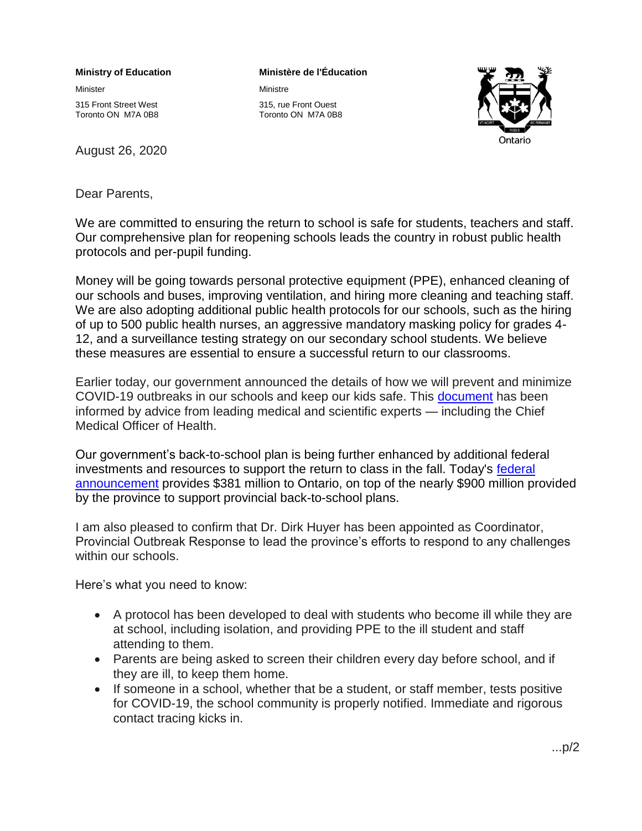## **Ministry of Education**

Minister

315 Front Street West Toronto ON M7A 0B8

August 26, 2020

## **Ministère de l'Éducation**

Ministre

315, rue Front Ouest Toronto ON M7A 0B8



Dear Parents,

We are committed to ensuring the return to school is safe for students, teachers and staff. Our comprehensive plan for reopening schools leads the country in robust public health protocols and per-pupil funding.

Money will be going towards personal protective equipment (PPE), enhanced cleaning of our schools and buses, improving ventilation, and hiring more cleaning and teaching staff. We are also adopting additional public health protocols for our schools, such as the hiring of up to 500 public health nurses, an aggressive mandatory masking policy for grades 4- 12, and a surveillance testing strategy on our secondary school students. We believe these measures are essential to ensure a successful return to our classrooms.

Earlier today, our government announced the details of how we will prevent and minimize COVID-19 outbreaks in our schools and keep our kids safe. This [document](https://www.ontario.ca/page/operational-guidance-covid-19-management-schools) has been informed by advice from leading medical and scientific experts — including the Chief Medical Officer of Health.

Our government's back-to-school plan is being further enhanced by additional federal investments and resources to support the return to class in the fall. Today's [federal](https://news.ontario.ca/edu/en/2020/08/additional-funds-enhance-ontarios-robust-back-to-school-plan.html?utm_source=ondemand&utm_medium=email&utm_campaign=o)  [announcement](https://news.ontario.ca/edu/en/2020/08/additional-funds-enhance-ontarios-robust-back-to-school-plan.html?utm_source=ondemand&utm_medium=email&utm_campaign=o) provides \$381 million to Ontario, on top of the nearly \$900 million provided by the province to support provincial back-to-school plans.

I am also pleased to confirm that Dr. Dirk Huyer has been appointed as Coordinator, Provincial Outbreak Response to lead the province's efforts to respond to any challenges within our schools.

Here's what you need to know:

- A protocol has been developed to deal with students who become ill while they are at school, including isolation, and providing PPE to the ill student and staff attending to them.
- Parents are being asked to screen their children every day before school, and if they are ill, to keep them home.
- If someone in a school, whether that be a student, or staff member, tests positive for COVID-19, the school community is properly notified. Immediate and rigorous contact tracing kicks in.